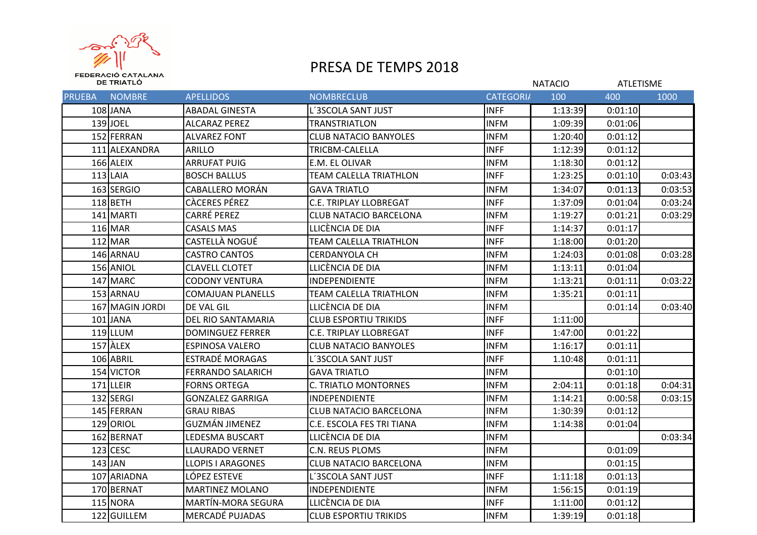

## PRESA DE TEMPS 2018

| DE TRIATLÓ    |                 |                          |                               |                  | <b>NATACIO</b> |         | <b>ATLETISME</b> |  |
|---------------|-----------------|--------------------------|-------------------------------|------------------|----------------|---------|------------------|--|
| <b>PRUEBA</b> | <b>NOMBRE</b>   | <b>APELLIDOS</b>         | <b>NOMBRECLUB</b>             | <b>CATEGORIA</b> | 100            | 400     | 1000             |  |
|               | $108$ JANA      | <b>ABADAL GINESTA</b>    | L'3SCOLA SANT JUST            | <b>INFF</b>      | 1:13:39        | 0:01:10 |                  |  |
|               | 139JJOEL        | <b>ALCARAZ PEREZ</b>     | TRANSTRIATLON                 | <b>INFM</b>      | 1:09:39        | 0:01:06 |                  |  |
|               | 152 FERRAN      | <b>ALVAREZ FONT</b>      | <b>CLUB NATACIO BANYOLES</b>  | <b>INFM</b>      | 1:20:40        | 0:01:12 |                  |  |
|               | 111 ALEXANDRA   | <b>ARILLO</b>            | TRICBM-CALELLA                | <b>INFF</b>      | 1:12:39        | 0:01:12 |                  |  |
|               | 166 ALEIX       | <b>ARRUFAT PUIG</b>      | E.M. EL OLIVAR                | <b>INFM</b>      | 1:18:30        | 0:01:12 |                  |  |
|               | $113$ LAIA      | <b>BOSCH BALLUS</b>      | <b>TEAM CALELLA TRIATHLON</b> | <b>INFF</b>      | 1:23:25        | 0:01:10 | 0:03:43          |  |
|               | 163 SERGIO      | <b>CABALLERO MORÁN</b>   | <b>GAVA TRIATLO</b>           | <b>INFM</b>      | 1:34:07        | 0:01:13 | 0:03:53          |  |
|               | $118$ BETH      | <b>CACERES PÉREZ</b>     | <b>C.E. TRIPLAY LLOBREGAT</b> | <b>INFF</b>      | 1:37:09        | 0:01:04 | 0:03:24          |  |
|               | 141 MARTI       | <b>CARRÉ PEREZ</b>       | <b>CLUB NATACIO BARCELONA</b> | <b>INFM</b>      | 1:19:27        | 0:01:21 | 0:03:29          |  |
|               | 116 MAR         | <b>CASALS MAS</b>        | LLICÈNCIA DE DIA              | <b>INFF</b>      | 1:14:37        | 0:01:17 |                  |  |
|               | 112 MAR         | <b>CASTELLÀ NOGUÉ</b>    | TEAM CALELLA TRIATHLON        | <b>INFF</b>      | 1:18:00        | 0:01:20 |                  |  |
|               | 146 ARNAU       | <b>CASTRO CANTOS</b>     | <b>CERDANYOLA CH</b>          | <b>INFM</b>      | 1:24:03        | 0:01:08 | 0:03:28          |  |
|               | 156 ANIOL       | <b>CLAVELL CLOTET</b>    | LLICÈNCIA DE DIA              | <b>INFM</b>      | 1:13:11        | 0:01:04 |                  |  |
|               | 147 MARC        | <b>CODONY VENTURA</b>    | <b>INDEPENDIENTE</b>          | <b>INFM</b>      | 1:13:21        | 0:01:11 | 0:03:22          |  |
|               | 153 ARNAU       | <b>COMAJUAN PLANELLS</b> | <b>TEAM CALELLA TRIATHLON</b> | <b>INFM</b>      | 1:35:21        | 0:01:11 |                  |  |
|               | 167 MAGIN JORDI | DE VAL GIL               | LLICÈNCIA DE DIA              | <b>INFM</b>      |                | 0:01:14 | 0:03:40          |  |
|               | $101$ JANA      | IDEL RIO SANTAMARIA      | <b>CLUB ESPORTIU TRIKIDS</b>  | <b>INFF</b>      | 1:11:00        |         |                  |  |
|               | $119$ LLUM      | <b>DOMINGUEZ FERRER</b>  | <b>C.E. TRIPLAY LLOBREGAT</b> | <b>INFF</b>      | 1:47:00        | 0:01:22 |                  |  |
|               | $157$ ALEX      | <b>ESPINOSA VALERO</b>   | <b>CLUB NATACIO BANYOLES</b>  | <b>INFM</b>      | 1:16:17        | 0:01:11 |                  |  |
|               | 106 ABRIL       | <b>ESTRADÉ MORAGAS</b>   | L'3SCOLA SANT JUST            | <b>INFF</b>      | 1.10:48        | 0:01:11 |                  |  |
|               | 154 VICTOR      | <b>FERRANDO SALARICH</b> | <b>GAVA TRIATLO</b>           | <b>INFM</b>      |                | 0:01:10 |                  |  |
|               | 171 LLEIR       | <b>FORNS ORTEGA</b>      | <b>C. TRIATLO MONTORNES</b>   | <b>INFM</b>      | 2:04:11        | 0:01:18 | 0:04:31          |  |
|               | 132 SERGI       | <b>GONZALEZ GARRIGA</b>  | <b>INDEPENDIENTE</b>          | <b>INFM</b>      | 1:14:21        | 0:00:58 | 0:03:15          |  |
|               | 145 FERRAN      | <b>GRAU RIBAS</b>        | <b>CLUB NATACIO BARCELONA</b> | <b>INFM</b>      | 1:30:39        | 0:01:12 |                  |  |
|               | 129 ORIOL       | GUZMÁN JIMENEZ           | C.E. ESCOLA FES TRI TIANA     | <b>INFM</b>      | 1:14:38        | 0:01:04 |                  |  |
|               | 162 BERNAT      | <b>LEDESMA BUSCART</b>   | LLICÈNCIA DE DIA              | <b>INFM</b>      |                |         | 0:03:34          |  |
|               | $123$ CESC      | <b>LLAURADO VERNET</b>   | C.N. REUS PLOMS               | <b>INFM</b>      |                | 0:01:09 |                  |  |
|               | $143$ JAN       | <b>LLOPIS I ARAGONES</b> | <b>CLUB NATACIO BARCELONA</b> | <b>INFM</b>      |                | 0:01:15 |                  |  |
|               | 107 ARIADNA     | LÓPEZ ESTEVE             | L'3SCOLA SANT JUST            | <b>INFF</b>      | 1:11:18        | 0:01:13 |                  |  |
|               | 170 BERNAT      | <b>MARTINEZ MOLANO</b>   | <b>INDEPENDIENTE</b>          | <b>INFM</b>      | 1:56:15        | 0:01:19 |                  |  |
|               | 115 NORA        | MARTIN-MORA SEGURA       | LLICÈNCIA DE DIA              | <b>INFF</b>      | 1:11:00        | 0:01:12 |                  |  |
|               | 122 GUILLEM     | <b>MERCADÉ PUJADAS</b>   | <b>CLUB ESPORTIU TRIKIDS</b>  | <b>INFM</b>      | 1:39:19        | 0:01:18 |                  |  |